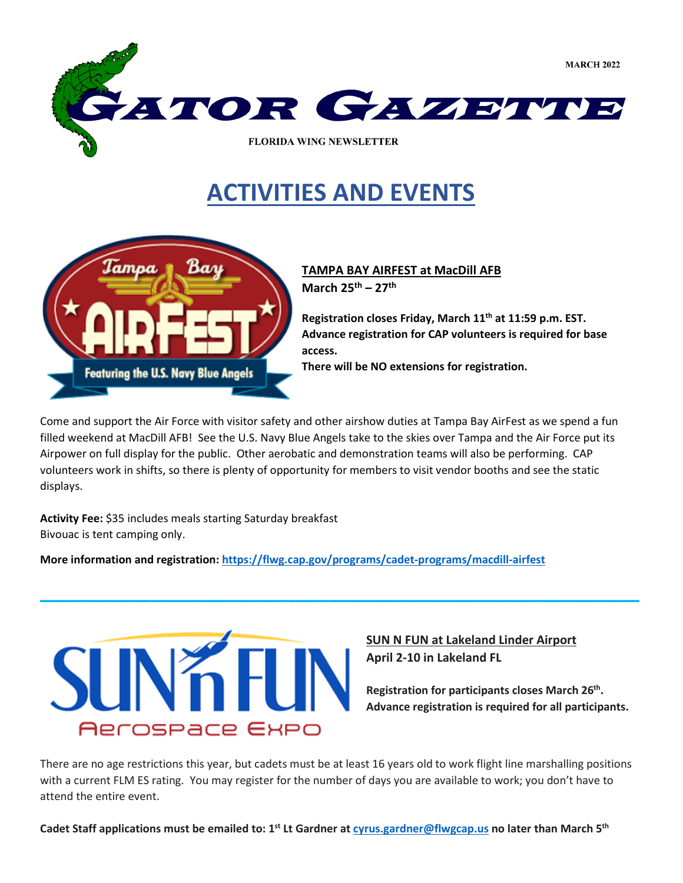

## **ACTIVITIES AND EVENTS**



**TAMPA BAY AIRFEST at MacDill AFB March 25th – 27th**

**Registration closes Friday, March 11th at 11:59 p.m. EST. Advance registration for CAP volunteers is required for base access. There will be NO extensions for registration.** 

Come and support the Air Force with visitor safety and other airshow duties at Tampa Bay AirFest as we spend a fun filled weekend at MacDill AFB! See the U.S. Navy Blue Angels take to the skies over Tampa and the Air Force put its Airpower on full display for the public. Other aerobatic and demonstration teams will also be performing. CAP volunteers work in shifts, so there is plenty of opportunity for members to visit vendor booths and see the static displays.

**\_\_\_\_\_\_\_\_\_\_\_\_\_\_\_\_\_\_\_\_\_\_\_\_\_\_\_\_\_\_\_\_\_\_\_\_\_\_\_\_\_\_\_\_\_\_\_\_\_\_\_\_\_\_**

**Activity Fee:** \$35 includes meals starting Saturday breakfast Bivouac is tent camping only.

**More information and registration:<https://flwg.cap.gov/programs/cadet-programs/macdill-airfest>**



### **SUN N FUN at Lakeland Linder Airport April 2-10 in Lakeland FL**

**Registration for participants closes March 26th. Advance registration is required for all participants.** 

There are no age restrictions this year, but cadets must be at least 16 years old to work flight line marshalling positions with a current FLM ES rating. You may register for the number of days you are available to work; you don't have to attend the entire event.

**Cadet Staff applications must be emailed to: 1st Lt Gardner at [cyrus.gardner@flwgcap.us](mailto:cyrus.gardner@flwgcap.us) no later than March 5th**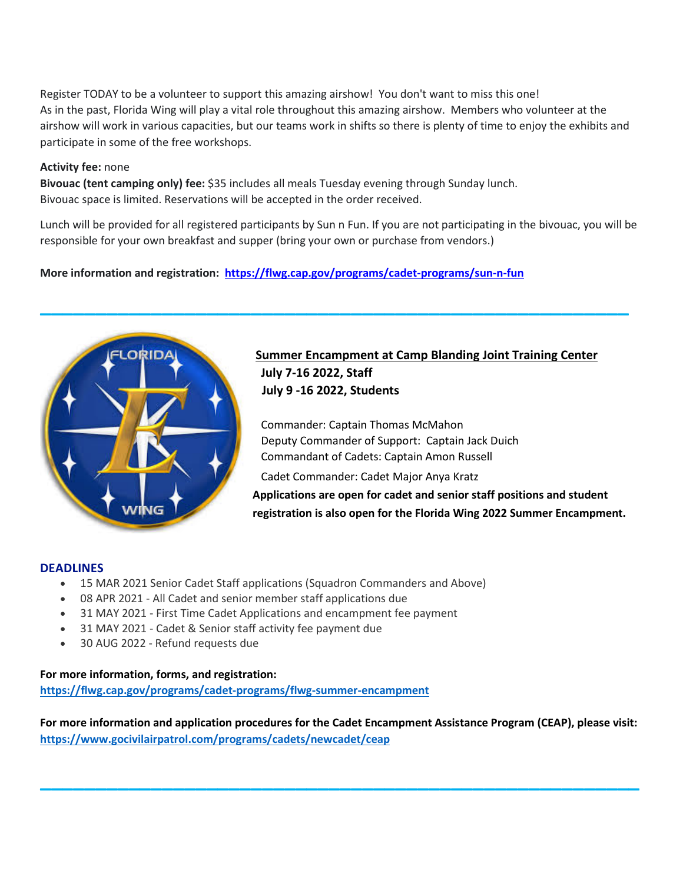Register TODAY to be a volunteer to support this amazing airshow! You don't want to miss this one! As in the past, Florida Wing will play a vital role throughout this amazing airshow. Members who volunteer at the airshow will work in various capacities, but our teams work in shifts so there is plenty of time to enjoy the exhibits and participate in some of the free workshops.

#### **Activity fee:** none

**Bivouac (tent camping only) fee:** \$35 includes all meals Tuesday evening through Sunday lunch. Bivouac space is limited. Reservations will be accepted in the order received.

Lunch will be provided for all registered participants by Sun n Fun. If you are not participating in the bivouac, you will be responsible for your own breakfast and supper (bring your own or purchase from vendors.)

**\_\_\_\_\_\_\_\_\_\_\_\_\_\_\_\_\_\_\_\_\_\_\_\_\_\_\_\_\_\_\_\_\_\_\_\_\_\_\_\_\_\_\_\_\_\_\_\_\_\_\_\_\_**

### **More information and registration: [https://flwg.cap.gov/programs/cadet-programs/sun-n-fun](https://flwg.cap.gov/programs/cadet-programs/sun-n-fun?fbclid=IwAR2IoX-a88mNWpq8dhE3UMfKbMF58BcAGizUUPII4cCAA0PnBo4y6_8nDDc)**



### **Summer Encampment at Camp Blanding Joint Training Center July 7-16 2022, Staff July 9 -16 2022, Students**

 Commander: Captain Thomas McMahon Deputy Commander of Support: Captain Jack Duich Commandant of Cadets: Captain Amon Russell

Cadet Commander: Cadet Major Anya Kratz

**Applications are open for cadet and senior staff positions and student registration is also open for the Florida Wing 2022 Summer Encampment.**

#### **DEADLINES**

- 15 MAR 2021 Senior Cadet Staff applications (Squadron Commanders and Above)
- 08 APR 2021 All Cadet and senior member staff applications due
- 31 MAY 2021 First Time Cadet Applications and encampment fee payment
- 31 MAY 2021 Cadet & Senior staff activity fee payment due
- 30 AUG 2022 Refund requests due

#### **For more information, forms, and registration:**

**<https://flwg.cap.gov/programs/cadet-programs/flwg-summer-encampment>**

**For more information and application procedures for the Cadet Encampment Assistance Program (CEAP), please visit: <https://www.gocivilairpatrol.com/programs/cadets/newcadet/ceap>**

**\_\_\_\_\_\_\_\_\_\_\_\_\_\_\_\_\_\_\_\_\_\_\_\_\_\_\_\_\_\_\_\_\_\_\_\_\_\_\_\_\_\_\_\_\_\_\_\_\_\_\_\_\_\_**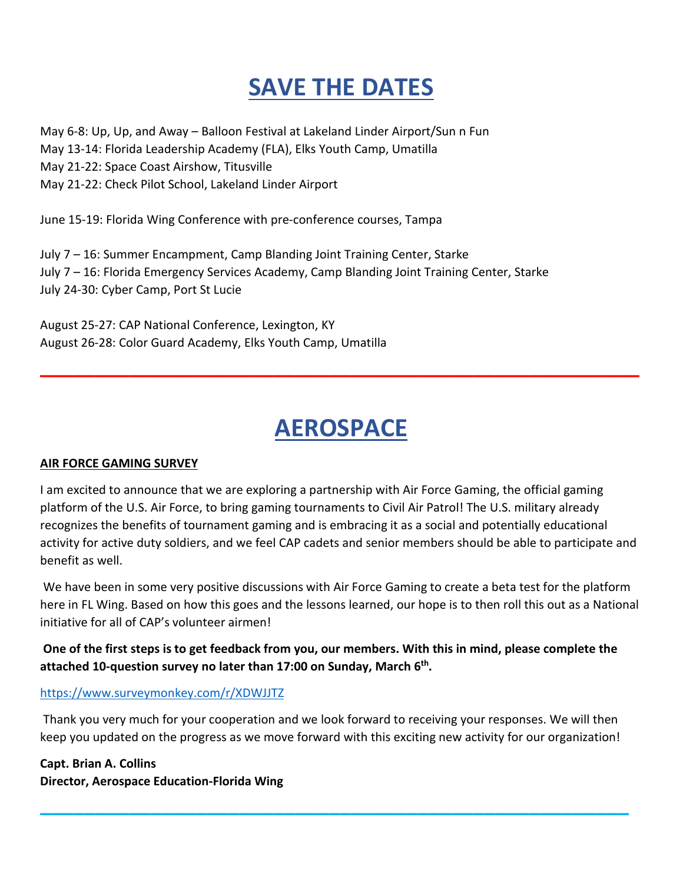# **SAVE THE DATES**

May 6-8: Up, Up, and Away – Balloon Festival at Lakeland Linder Airport/Sun n Fun May 13-14: Florida Leadership Academy (FLA), Elks Youth Camp, Umatilla May 21-22: Space Coast Airshow, Titusville May 21-22: Check Pilot School, Lakeland Linder Airport

June 15-19: Florida Wing Conference with pre-conference courses, Tampa

July 7 – 16: Summer Encampment, Camp Blanding Joint Training Center, Starke July 7 – 16: Florida Emergency Services Academy, Camp Blanding Joint Training Center, Starke July 24-30: Cyber Camp, Port St Lucie

August 25-27: CAP National Conference, Lexington, KY August 26-28: Color Guard Academy, Elks Youth Camp, Umatilla

## **AEROSPACE**

**\_\_\_\_\_\_\_\_\_\_\_\_\_\_\_\_\_\_\_\_\_\_\_\_\_\_\_\_\_\_\_\_\_\_\_\_\_\_\_\_\_\_\_\_\_\_\_\_\_\_\_\_\_\_**

### **AIR FORCE GAMING SURVEY**

I am excited to announce that we are exploring a partnership with Air Force Gaming, the official gaming platform of the U.S. Air Force, to bring gaming tournaments to Civil Air Patrol! The U.S. military already recognizes the benefits of tournament gaming and is embracing it as a social and potentially educational activity for active duty soldiers, and we feel CAP cadets and senior members should be able to participate and benefit as well.

We have been in some very positive discussions with Air Force Gaming to create a beta test for the platform here in FL Wing. Based on how this goes and the lessons learned, our hope is to then roll this out as a National initiative for all of CAP's volunteer airmen!

**One of the first steps is to get feedback from you, our members. With this in mind, please complete the attached 10-question survey no later than 17:00 on Sunday, March 6th.** 

### <https://www.surveymonkey.com/r/XDWJJTZ>

Thank you very much for your cooperation and we look forward to receiving your responses. We will then keep you updated on the progress as we move forward with this exciting new activity for our organization!

**\_\_\_\_\_\_\_\_\_\_\_\_\_\_\_\_\_\_\_\_\_\_\_\_\_\_\_\_\_\_\_\_\_\_\_\_\_\_\_\_\_\_\_\_\_\_\_\_\_\_\_\_\_**

**Capt. Brian A. Collins Director, Aerospace Education-Florida Wing**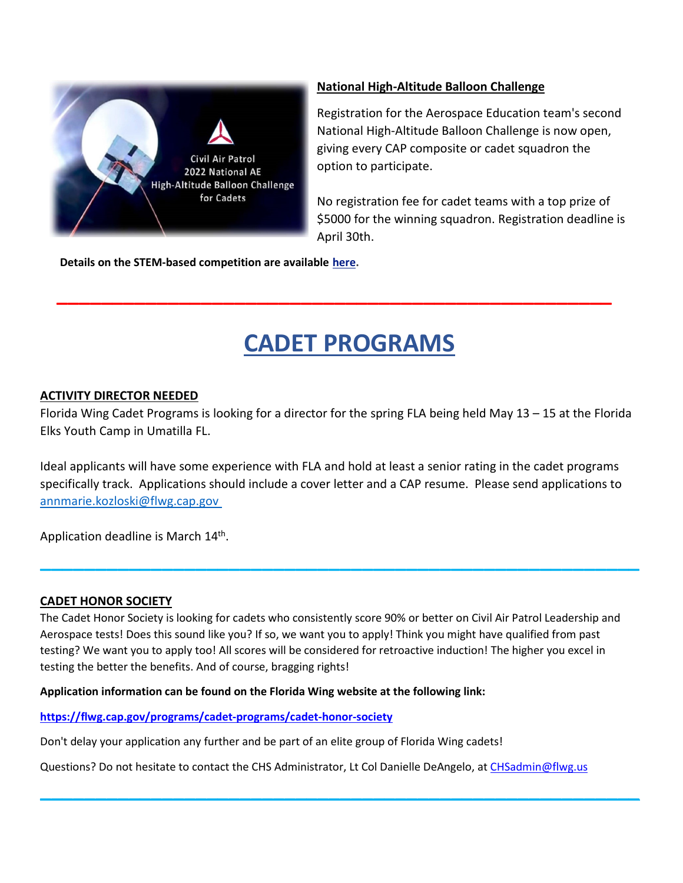

### **National High-Altitude Balloon Challenge**

Registration for the Aerospace Education team's second National High-Altitude Balloon Challenge is now open, giving every CAP composite or cadet squadron the option to participate.

No registration fee for cadet teams with a top prize of \$5000 for the winning squadron. Registration deadline is April 30th.

**Details on the STEM-based competition are available [here.](https://r20.rs6.net/tn.jsp?f=001ldplvzwm7_L01bOarZJWCI_W4w24UZQZ7mo_BXOpmtj2xlnL0YWGK42k2HIiBvJ1MoKtBeiwlBCTvXPmKrYfnOCTxwtTB0-o6VHxUZxdZVgKwn70meb-5j-9-6UqykJaQEWPXR5zw5fNqFS4qP7cqZThyck6PmDqhdA66AtFgrNtMeb45FGqkPMtRlytc6C3VlkFUscRQnKT_8eqpXs5s0Y4ER_X8hI09S7DAJGUPF32LFSeVJsV20IPY7ZZ3MIROMAxZCkBphUFRjLpPbcraw==&c=xyjZhsdQ27QVfTgWiWLUKVfk3j-vJE21O425o3cJFO3SpM8-zAAVQA==&ch=Jg0Pw-gWZys4BfZ7tCsbmOT2bb29yq1_KDMJqlNqAvpZ3FcdxXQqqg==)**

## **CADET PROGRAMS**

**\_\_\_\_\_\_\_\_\_\_\_\_\_\_\_\_\_\_\_\_\_\_\_\_\_\_\_\_\_\_\_\_\_\_\_\_\_\_\_\_\_\_\_\_\_\_\_\_\_\_**

#### **ACTIVITY DIRECTOR NEEDED**

Florida Wing Cadet Programs is looking for a director for the spring FLA being held May 13 – 15 at the Florida Elks Youth Camp in Umatilla FL.

Ideal applicants will have some experience with FLA and hold at least a senior rating in the cadet programs specifically track. Applications should include a cover letter and a CAP resume. Please send applications to annmarie.kozloski@flwg.cap.gov

**\_\_\_\_\_\_\_\_\_\_\_\_\_\_\_\_\_\_\_\_\_\_\_\_\_\_\_\_\_\_\_\_\_\_\_\_\_\_\_\_\_\_\_\_\_\_\_\_\_\_\_\_\_\_**

Application deadline is March 14<sup>th</sup>.

#### **CADET HONOR SOCIETY**

The Cadet Honor Society is looking for cadets who consistently score 90% or better on Civil Air Patrol Leadership and Aerospace tests! Does this sound like you? If so, we want you to apply! Think you might have qualified from past testing? We want you to apply too! All scores will be considered for retroactive induction! The higher you excel in testing the better the benefits. And of course, bragging rights!

**Application information can be found on the Florida Wing website at the following link:** 

**<https://flwg.cap.gov/programs/cadet-programs/cadet-honor-society>**

Don't delay your application any further and be part of an elite group of Florida Wing cadets!

Questions? Do not hesitate to contact the CHS Administrator, Lt Col Danielle DeAngelo, a[t CHSadmin@flwg.us](mailto:CHSadmin@flwg.us)

**\_\_\_\_\_\_\_\_\_\_\_\_\_\_\_\_\_\_\_\_\_\_\_\_\_\_\_\_\_\_\_\_\_\_\_\_\_\_\_\_\_\_\_\_\_\_\_\_\_\_\_\_\_\_**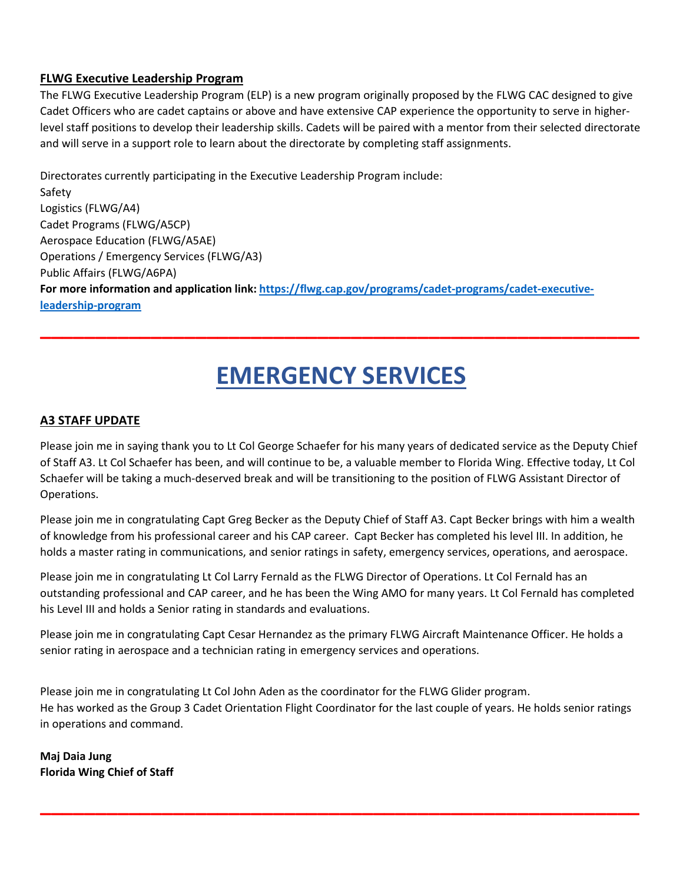#### **FLWG Executive Leadership Program**

The FLWG Executive Leadership Program (ELP) is a new program originally proposed by the FLWG CAC designed to give Cadet Officers who are cadet captains or above and have extensive CAP experience the opportunity to serve in higherlevel staff positions to develop their leadership skills. Cadets will be paired with a mentor from their selected directorate and will serve in a support role to learn about the directorate by completing staff assignments.

Directorates currently participating in the Executive Leadership Program include: Safety Logistics (FLWG/A4) Cadet Programs (FLWG/A5CP) Aerospace Education (FLWG/A5AE) Operations / Emergency Services (FLWG/A3) Public Affairs (FLWG/A6PA) **For more information and application link: [https://flwg.cap.gov/programs/cadet-programs/cadet-executive](https://flwg.cap.gov/programs/cadet-programs/cadet-executive-leadership-program)[leadership-program](https://flwg.cap.gov/programs/cadet-programs/cadet-executive-leadership-program)**

# **EMERGENCY SERVICES**

**\_\_\_\_\_\_\_\_\_\_\_\_\_\_\_\_\_\_\_\_\_\_\_\_\_\_\_\_\_\_\_\_\_\_\_\_\_\_\_\_\_\_\_\_\_\_\_\_\_\_\_\_\_\_**

#### **A3 STAFF UPDATE**

Please join me in saying thank you to Lt Col George Schaefer for his many years of dedicated service as the Deputy Chief of Staff A3. Lt Col Schaefer has been, and will continue to be, a valuable member to Florida Wing. Effective today, Lt Col Schaefer will be taking a much-deserved break and will be transitioning to the position of FLWG Assistant Director of Operations.

Please join me in congratulating Capt Greg Becker as the Deputy Chief of Staff A3. Capt Becker brings with him a wealth of knowledge from his professional career and his CAP career. Capt Becker has completed his level III. In addition, he holds a master rating in communications, and senior ratings in safety, emergency services, operations, and aerospace.

Please join me in congratulating Lt Col Larry Fernald as the FLWG Director of Operations. Lt Col Fernald has an outstanding professional and CAP career, and he has been the Wing AMO for many years. Lt Col Fernald has completed his Level III and holds a Senior rating in standards and evaluations.

Please join me in congratulating Capt Cesar Hernandez as the primary FLWG Aircraft Maintenance Officer. He holds a senior rating in aerospace and a technician rating in emergency services and operations.

Please join me in congratulating Lt Col John Aden as the coordinator for the FLWG Glider program. He has worked as the Group 3 Cadet Orientation Flight Coordinator for the last couple of years. He holds senior ratings in operations and command.

**\_\_\_\_\_\_\_\_\_\_\_\_\_\_\_\_\_\_\_\_\_\_\_\_\_\_\_\_\_\_\_\_\_\_\_\_\_\_\_\_\_\_\_\_\_\_\_\_\_\_\_\_\_\_**

**Maj Daia Jung Florida Wing Chief of Staff**